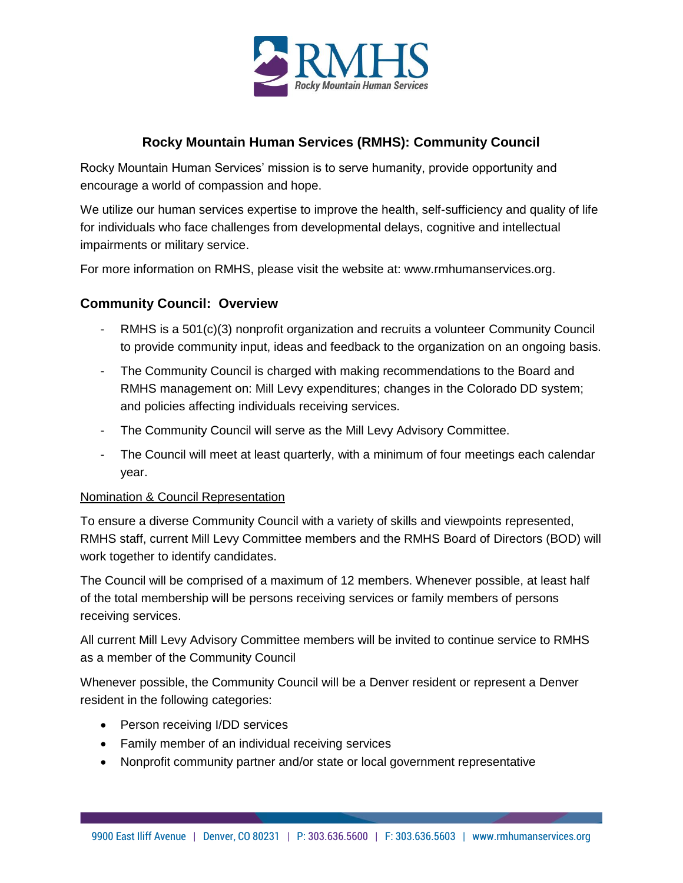

# **Rocky Mountain Human Services (RMHS): Community Council**

Rocky Mountain Human Services' mission is to serve humanity, provide opportunity and encourage a world of compassion and hope.

We utilize our human services expertise to improve the health, self-sufficiency and quality of life for individuals who face challenges from developmental delays, cognitive and intellectual impairments or military service.

For more information on RMHS, please visit the website at: www.rmhumanservices.org.

# **Community Council: Overview**

- RMHS is a 501(c)(3) nonprofit organization and recruits a volunteer Community Council to provide community input, ideas and feedback to the organization on an ongoing basis.
- The Community Council is charged with making recommendations to the Board and RMHS management on: Mill Levy expenditures; changes in the Colorado DD system; and policies affecting individuals receiving services.
- The Community Council will serve as the Mill Levy Advisory Committee.
- The Council will meet at least quarterly, with a minimum of four meetings each calendar year.

## Nomination & Council Representation

To ensure a diverse Community Council with a variety of skills and viewpoints represented, RMHS staff, current Mill Levy Committee members and the RMHS Board of Directors (BOD) will work together to identify candidates.

The Council will be comprised of a maximum of 12 members. Whenever possible, at least half of the total membership will be persons receiving services or family members of persons receiving services.

All current Mill Levy Advisory Committee members will be invited to continue service to RMHS as a member of the Community Council

Whenever possible, the Community Council will be a Denver resident or represent a Denver resident in the following categories:

- Person receiving I/DD services
- Family member of an individual receiving services
- Nonprofit community partner and/or state or local government representative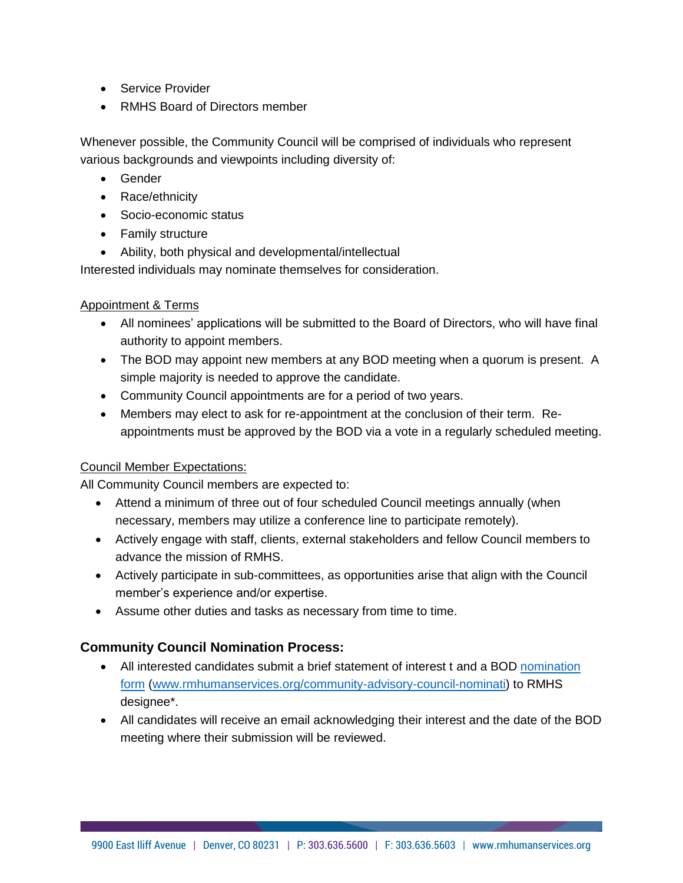- Service Provider
- RMHS Board of Directors member

Whenever possible, the Community Council will be comprised of individuals who represent various backgrounds and viewpoints including diversity of:

- Gender
- Race/ethnicity
- Socio-economic status
- Family structure
- Ability, both physical and developmental/intellectual

Interested individuals may nominate themselves for consideration.

# Appointment & Terms

- All nominees' applications will be submitted to the Board of Directors, who will have final authority to appoint members.
- The BOD may appoint new members at any BOD meeting when a quorum is present. A simple majority is needed to approve the candidate.
- Community Council appointments are for a period of two years.
- Members may elect to ask for re-appointment at the conclusion of their term. Reappointments must be approved by the BOD via a vote in a regularly scheduled meeting.

# Council Member Expectations:

All Community Council members are expected to:

- Attend a minimum of three out of four scheduled Council meetings annually (when necessary, members may utilize a conference line to participate remotely).
- Actively engage with staff, clients, external stakeholders and fellow Council members to advance the mission of RMHS.
- Actively participate in sub-committees, as opportunities arise that align with the Council member's experience and/or expertise.
- Assume other duties and tasks as necessary from time to time.

# **Community Council Nomination Process:**

- All interested candidates submit a brief statement of interest t and a BOD nomination [form](https://www.rmhumanservices.org/community-advisory-council-nominati) [\(www.rmhumanservices.org/community-advisory-council-nominati\)](http://www.rmhumanservices.org/community-advisory-council-nominati) to RMHS designee\*.
- All candidates will receive an email acknowledging their interest and the date of the BOD meeting where their submission will be reviewed.